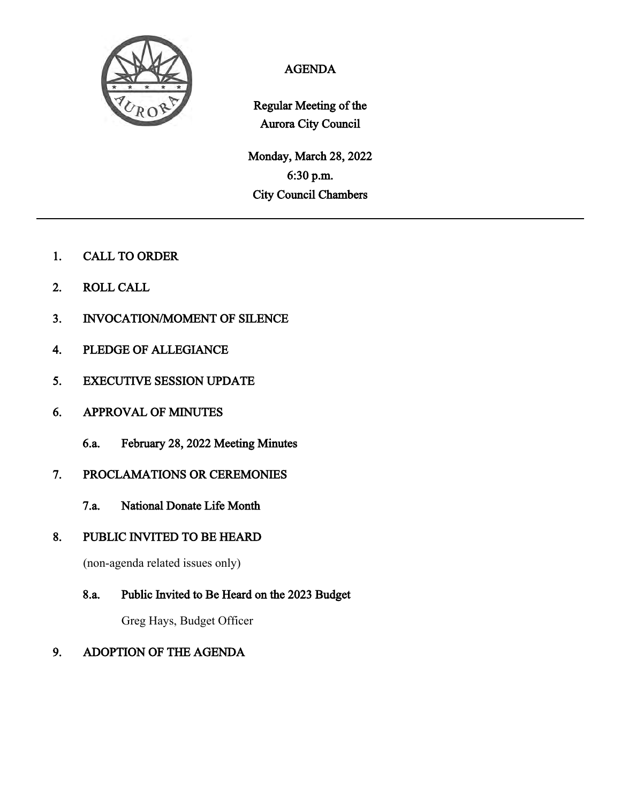

# AGENDA

Regular Meeting of the Aurora City Council

Monday, March 28, 2022 6:30 p.m. City Council Chambers

- 1. CALL TO ORDER
- 2. ROLL CALL
- 3. INVOCATION/MOMENT OF SILENCE
- 4. PLEDGE OF ALLEGIANCE
- 5. EXECUTIVE SESSION UPDATE
- 6. APPROVAL OF MINUTES
	- 6.a. February 28, 2022 Meeting Minutes
- 7. PROCLAMATIONS OR CEREMONIES
	- 7.a. National Donate Life Month
- 8. PUBLIC INVITED TO BE HEARD

(non-agenda related issues only)

8.a. Public Invited to Be Heard on the 2023 Budget

Greg Hays, Budget Officer

### 9. ADOPTION OF THE AGENDA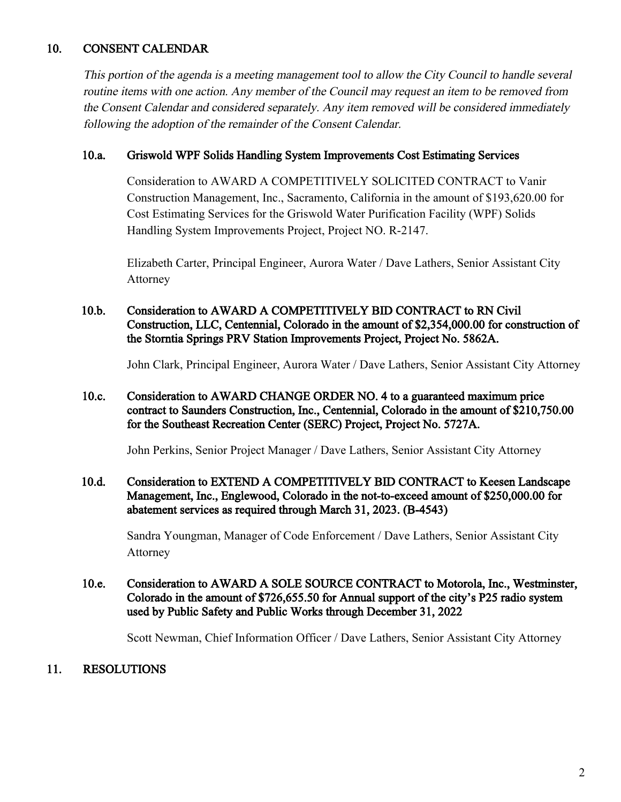# 10. CONSENT CALENDAR

This portion of the agenda is a meeting management tool to allow the City Council to handle several routine items with one action. Any member of the Council may request an item to be removed from the Consent Calendar and considered separately. Any item removed will be considered immediately following the adoption of the remainder of the Consent Calendar.

#### 10.a. Griswold WPF Solids Handling System Improvements Cost Estimating Services

Consideration to AWARD A COMPETITIVELY SOLICITED CONTRACT to Vanir Construction Management, Inc., Sacramento, California in the amount of \$193,620.00 for Cost Estimating Services for the Griswold Water Purification Facility (WPF) Solids Handling System Improvements Project, Project NO. R-2147.

Elizabeth Carter, Principal Engineer, Aurora Water / Dave Lathers, Senior Assistant City Attorney

10.b. Consideration to AWARD A COMPETITIVELY BID CONTRACT to RN Civil Construction, LLC, Centennial, Colorado in the amount of \$2,354,000.00 for construction of the Storntia Springs PRV Station Improvements Project, Project No. 5862A.

John Clark, Principal Engineer, Aurora Water / Dave Lathers, Senior Assistant City Attorney

#### 10.c. Consideration to AWARD CHANGE ORDER NO. 4 to a guaranteed maximum price contract to Saunders Construction, Inc., Centennial, Colorado in the amount of \$210,750.00 for the Southeast Recreation Center (SERC) Project, Project No. 5727A.

John Perkins, Senior Project Manager / Dave Lathers, Senior Assistant City Attorney

#### 10.d. Consideration to EXTEND A COMPETITIVELY BID CONTRACT to Keesen Landscape Management, Inc., Englewood, Colorado in the not-to-exceed amount of \$250,000.00 for abatement services as required through March 31, 2023. (B-4543)

Sandra Youngman, Manager of Code Enforcement / Dave Lathers, Senior Assistant City Attorney

#### 10.e. Consideration to AWARD A SOLE SOURCE CONTRACT to Motorola, Inc., Westminster, Colorado in the amount of \$726,655.50 for Annual support of the city's P25 radio system used by Public Safety and Public Works through December 31, 2022

Scott Newman, Chief Information Officer / Dave Lathers, Senior Assistant City Attorney

### 11. RESOLUTIONS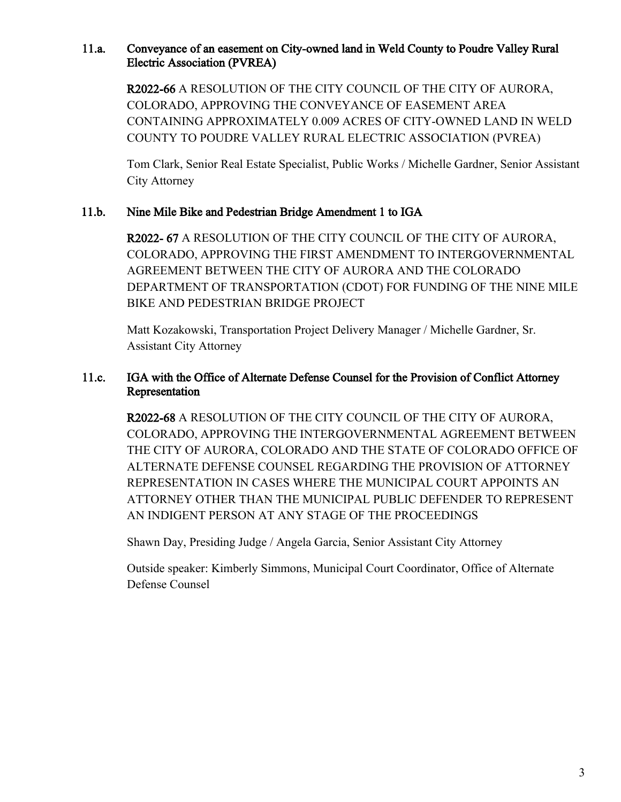### 11.a. Conveyance of an easement on City-owned land in Weld County to Poudre Valley Rural Electric Association (PVREA)

R2022-66 A RESOLUTION OF THE CITY COUNCIL OF THE CITY OF AURORA, COLORADO, APPROVING THE CONVEYANCE OF EASEMENT AREA CONTAINING APPROXIMATELY 0.009 ACRES OF CITY-OWNED LAND IN WELD COUNTY TO POUDRE VALLEY RURAL ELECTRIC ASSOCIATION (PVREA)

Tom Clark, Senior Real Estate Specialist, Public Works / Michelle Gardner, Senior Assistant City Attorney

### 11.b. Nine Mile Bike and Pedestrian Bridge Amendment 1 to IGA

R2022- 67 A RESOLUTION OF THE CITY COUNCIL OF THE CITY OF AURORA, COLORADO, APPROVING THE FIRST AMENDMENT TO INTERGOVERNMENTAL AGREEMENT BETWEEN THE CITY OF AURORA AND THE COLORADO DEPARTMENT OF TRANSPORTATION (CDOT) FOR FUNDING OF THE NINE MILE BIKE AND PEDESTRIAN BRIDGE PROJECT

Matt Kozakowski, Transportation Project Delivery Manager / Michelle Gardner, Sr. Assistant City Attorney

### 11.c. IGA with the Office of Alternate Defense Counsel for the Provision of Conflict Attorney Representation

R2022-68 A RESOLUTION OF THE CITY COUNCIL OF THE CITY OF AURORA, COLORADO, APPROVING THE INTERGOVERNMENTAL AGREEMENT BETWEEN THE CITY OF AURORA, COLORADO AND THE STATE OF COLORADO OFFICE OF ALTERNATE DEFENSE COUNSEL REGARDING THE PROVISION OF ATTORNEY REPRESENTATION IN CASES WHERE THE MUNICIPAL COURT APPOINTS AN ATTORNEY OTHER THAN THE MUNICIPAL PUBLIC DEFENDER TO REPRESENT AN INDIGENT PERSON AT ANY STAGE OF THE PROCEEDINGS

Shawn Day, Presiding Judge / Angela Garcia, Senior Assistant City Attorney

Outside speaker: Kimberly Simmons, Municipal Court Coordinator, Office of Alternate Defense Counsel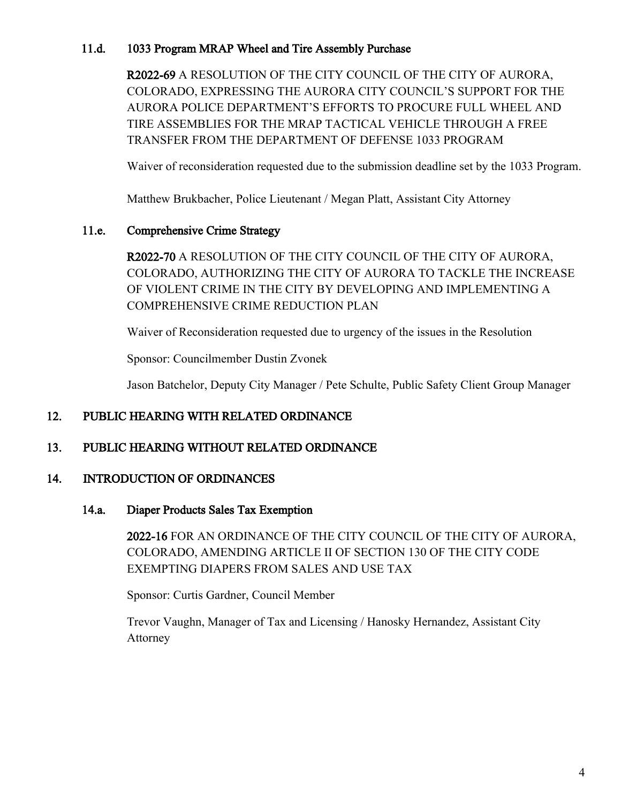### 11.d. 1033 Program MRAP Wheel and Tire Assembly Purchase

R2022-69 A RESOLUTION OF THE CITY COUNCIL OF THE CITY OF AURORA, COLORADO, EXPRESSING THE AURORA CITY COUNCIL'S SUPPORT FOR THE AURORA POLICE DEPARTMENT'S EFFORTS TO PROCURE FULL WHEEL AND TIRE ASSEMBLIES FOR THE MRAP TACTICAL VEHICLE THROUGH A FREE TRANSFER FROM THE DEPARTMENT OF DEFENSE 1033 PROGRAM

Waiver of reconsideration requested due to the submission deadline set by the 1033 Program.

Matthew Brukbacher, Police Lieutenant / Megan Platt, Assistant City Attorney

### 11.e. Comprehensive Crime Strategy

R2022-70 A RESOLUTION OF THE CITY COUNCIL OF THE CITY OF AURORA, COLORADO, AUTHORIZING THE CITY OF AURORA TO TACKLE THE INCREASE OF VIOLENT CRIME IN THE CITY BY DEVELOPING AND IMPLEMENTING A COMPREHENSIVE CRIME REDUCTION PLAN

Waiver of Reconsideration requested due to urgency of the issues in the Resolution

Sponsor: Councilmember Dustin Zvonek

Jason Batchelor, Deputy City Manager / Pete Schulte, Public Safety Client Group Manager

# 12. PUBLIC HEARING WITH RELATED ORDINANCE

### 13. PUBLIC HEARING WITHOUT RELATED ORDINANCE

### 14. INTRODUCTION OF ORDINANCES

#### 14.a. Diaper Products Sales Tax Exemption

2022-16 FOR AN ORDINANCE OF THE CITY COUNCIL OF THE CITY OF AURORA, COLORADO, AMENDING ARTICLE II OF SECTION 130 OF THE CITY CODE EXEMPTING DIAPERS FROM SALES AND USE TAX

Sponsor: Curtis Gardner, Council Member

Trevor Vaughn, Manager of Tax and Licensing / Hanosky Hernandez, Assistant City Attorney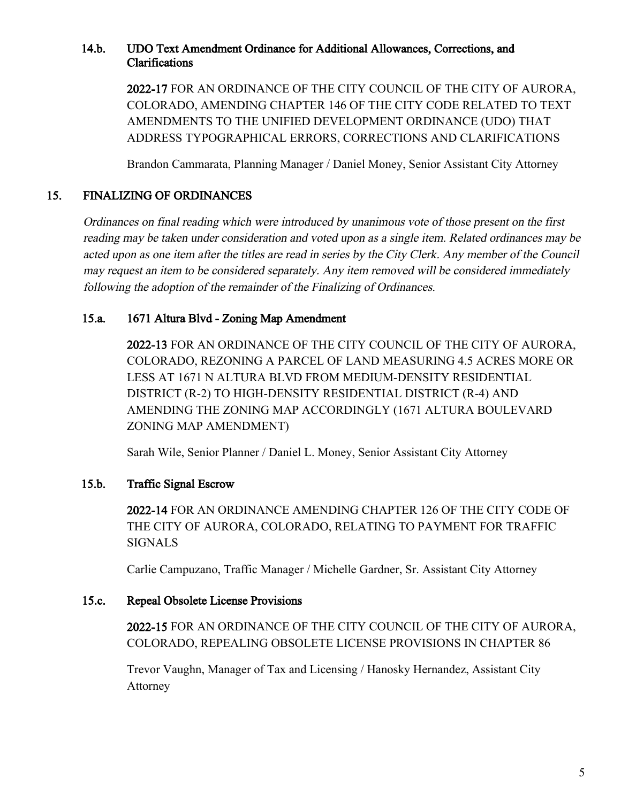#### 14.b. UDO Text Amendment Ordinance for Additional Allowances, Corrections, and Clarifications

2022-17 FOR AN ORDINANCE OF THE CITY COUNCIL OF THE CITY OF AURORA, COLORADO, AMENDING CHAPTER 146 OF THE CITY CODE RELATED TO TEXT AMENDMENTS TO THE UNIFIED DEVELOPMENT ORDINANCE (UDO) THAT ADDRESS TYPOGRAPHICAL ERRORS, CORRECTIONS AND CLARIFICATIONS

Brandon Cammarata, Planning Manager / Daniel Money, Senior Assistant City Attorney

### 15. FINALIZING OF ORDINANCES

Ordinances on final reading which were introduced by unanimous vote of those present on the first reading may be taken under consideration and voted upon as a single item. Related ordinances may be acted upon as one item after the titles are read in series by the City Clerk. Any member of the Council may request an item to be considered separately. Any item removed will be considered immediately following the adoption of the remainder of the Finalizing of Ordinances.

### 15.a. 1671 Altura Blvd - Zoning Map Amendment

2022-13 FOR AN ORDINANCE OF THE CITY COUNCIL OF THE CITY OF AURORA, COLORADO, REZONING A PARCEL OF LAND MEASURING 4.5 ACRES MORE OR LESS AT 1671 N ALTURA BLVD FROM MEDIUM-DENSITY RESIDENTIAL DISTRICT (R-2) TO HIGH-DENSITY RESIDENTIAL DISTRICT (R-4) AND AMENDING THE ZONING MAP ACCORDINGLY (1671 ALTURA BOULEVARD ZONING MAP AMENDMENT)

Sarah Wile, Senior Planner / Daniel L. Money, Senior Assistant City Attorney

### 15.b. Traffic Signal Escrow

2022-14 FOR AN ORDINANCE AMENDING CHAPTER 126 OF THE CITY CODE OF THE CITY OF AURORA, COLORADO, RELATING TO PAYMENT FOR TRAFFIC SIGNALS

Carlie Campuzano, Traffic Manager / Michelle Gardner, Sr. Assistant City Attorney

#### 15.c. Repeal Obsolete License Provisions

2022-15 FOR AN ORDINANCE OF THE CITY COUNCIL OF THE CITY OF AURORA, COLORADO, REPEALING OBSOLETE LICENSE PROVISIONS IN CHAPTER 86

Trevor Vaughn, Manager of Tax and Licensing / Hanosky Hernandez, Assistant City Attorney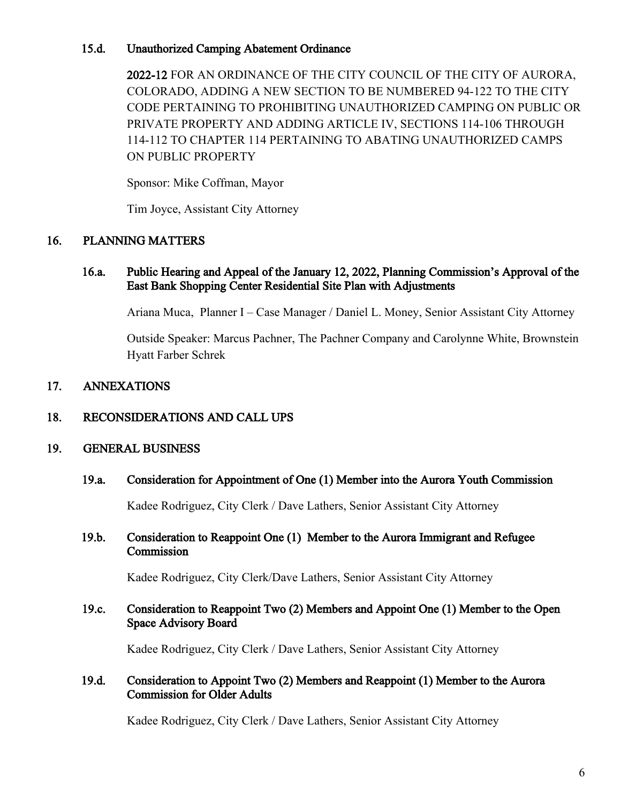#### 15.d. Unauthorized Camping Abatement Ordinance

2022-12 FOR AN ORDINANCE OF THE CITY COUNCIL OF THE CITY OF AURORA, COLORADO, ADDING A NEW SECTION TO BE NUMBERED 94-122 TO THE CITY CODE PERTAINING TO PROHIBITING UNAUTHORIZED CAMPING ON PUBLIC OR PRIVATE PROPERTY AND ADDING ARTICLE IV, SECTIONS 114-106 THROUGH 114-112 TO CHAPTER 114 PERTAINING TO ABATING UNAUTHORIZED CAMPS ON PUBLIC PROPERTY

Sponsor: Mike Coffman, Mayor

Tim Joyce, Assistant City Attorney

### 16. PLANNING MATTERS

#### 16.a. Public Hearing and Appeal of the January 12, 2022, Planning Commission's Approval of the East Bank Shopping Center Residential Site Plan with Adjustments

Ariana Muca, Planner I – Case Manager / Daniel L. Money, Senior Assistant City Attorney

Outside Speaker: Marcus Pachner, The Pachner Company and Carolynne White, Brownstein Hyatt Farber Schrek

### 17. ANNEXATIONS

### 18. RECONSIDERATIONS AND CALL UPS

#### 19. GENERAL BUSINESS

#### 19.a. Consideration for Appointment of One (1) Member into the Aurora Youth Commission

Kadee Rodriguez, City Clerk / Dave Lathers, Senior Assistant City Attorney

#### 19.b. Consideration to Reappoint One (1) Member to the Aurora Immigrant and Refugee **Commission**

Kadee Rodriguez, City Clerk/Dave Lathers, Senior Assistant City Attorney

#### 19.c. Consideration to Reappoint Two (2) Members and Appoint One (1) Member to the Open Space Advisory Board

Kadee Rodriguez, City Clerk / Dave Lathers, Senior Assistant City Attorney

#### 19.d. Consideration to Appoint Two (2) Members and Reappoint (1) Member to the Aurora Commission for Older Adults

Kadee Rodriguez, City Clerk / Dave Lathers, Senior Assistant City Attorney